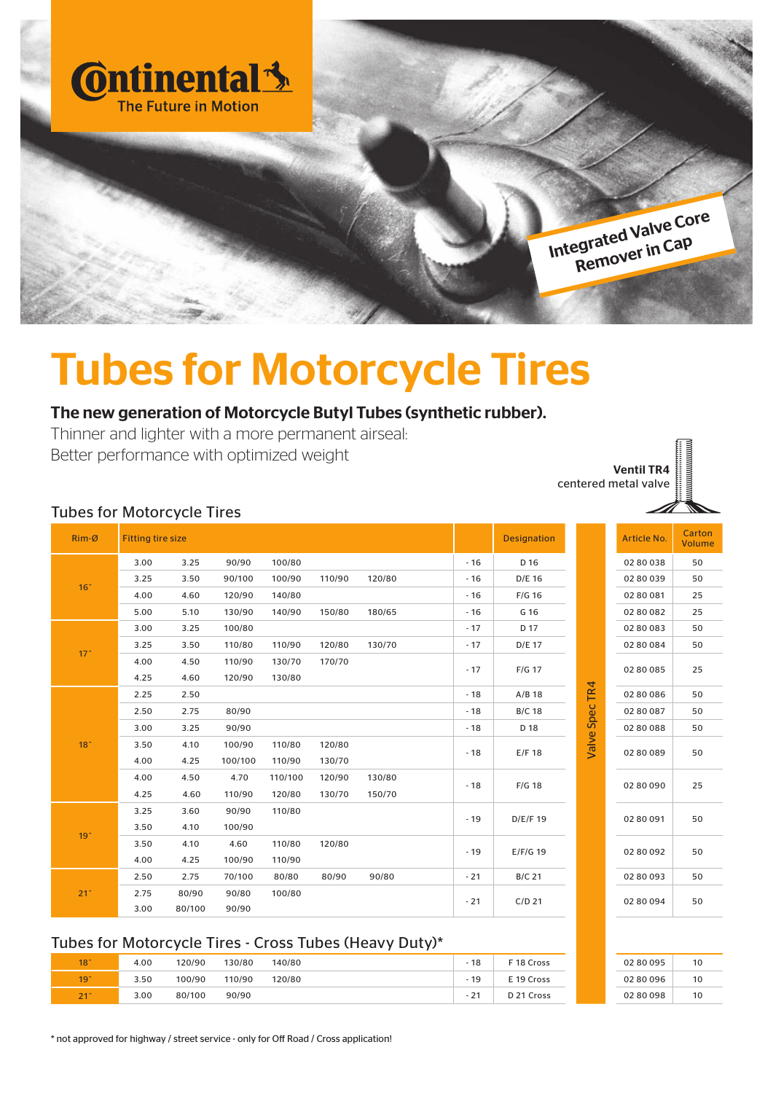

## Tubes for Motorcycle Tires

## The new generation of Motorcycle Butyl Tubes (synthetic rubber).

Thinner and lighter with a more permanent airseal: Better performance with optimized weight

Ventil TR4 centered metal valve



|       | <b>Designation</b> |                | Article No. | Carton<br><b>Volume</b> |
|-------|--------------------|----------------|-------------|-------------------------|
| - 16  | D 16               |                | 0280038     | 50                      |
| - 16  | D/E 16             |                | 0280039     | 50                      |
| $-16$ | $F/G$ 16           |                | 02 80 081   | 25                      |
| $-16$ | G 16               |                | 02 80 082   | 25                      |
| $-17$ | D 17               |                | 0280083     | 50                      |
| $-17$ | D/E 17             |                | 02 80 084   | 50                      |
| - 17  | $F/G$ 17           |                | 02 80 085   | 25                      |
| - 18  | $A/B$ 18           |                | 02 80 086   | 50                      |
| - 18  | <b>B/C 18</b>      |                | 02 80 087   | 50                      |
| $-18$ | D 18               |                | 02 80 088   | 50                      |
| - 18  | E/F 18             | Valve Spec TR4 | 02 80 089   | 50                      |
| - 18  | $F/G$ 18           |                | 02 80 090   | 25                      |
| $-19$ | D/E/F 19           |                | 0280091     | 50                      |
| $-19$ | $E/F/G$ 19         |                | 02 80 092   | 50                      |
| $-21$ | <b>B/C 21</b>      |                | 0280093     | 50                      |
| - 21  | $C/D$ 21           |                | 02 80 094   | 50                      |
|       |                    |                |             |                         |

| 02 80 095 | 10 |
|-----------|----|
| 0280096   | 10 |
| 0280098   | 10 |

#### Tubes for Motorcycle Tires

| Rim-Ø            | <b>Fitting tire size</b> |        |         |         |        |        |       | <b>Designation</b> |                | Article No. | Cart<br>Volu   |
|------------------|--------------------------|--------|---------|---------|--------|--------|-------|--------------------|----------------|-------------|----------------|
|                  | 3.00                     | 3.25   | 90/90   | 100/80  |        |        | $-16$ | D 16               |                | 02 80 038   | 50             |
| 16 <sup>th</sup> | 3.25                     | 3.50   | 90/100  | 100/90  | 110/90 | 120/80 | $-16$ | D/E 16             |                | 02 80 039   | 50             |
|                  | 4.00                     | 4.60   | 120/90  | 140/80  |        |        | $-16$ | $F/G$ 16           |                | 02 80 081   | 25             |
|                  | 5.00                     | 5.10   | 130/90  | 140/90  | 150/80 | 180/65 | $-16$ | G 16               |                | 02 80 082   | 25             |
|                  | 3.00                     | 3.25   | 100/80  |         |        |        | $-17$ | D 17               |                | 0280083     | 50             |
| 17"              | 3.25                     | 3.50   | 110/80  | 110/90  | 120/80 | 130/70 | $-17$ | D/E 17             |                | 02 80 084   | 50             |
|                  | 4.00                     | 4.50   | 110/90  | 130/70  | 170/70 |        | $-17$ | F/G 17             |                | 02 80 085   | 25             |
|                  | 4.25                     | 4.60   | 120/90  | 130/80  |        |        |       |                    |                |             |                |
|                  | 2.25                     | 2.50   |         |         |        |        | $-18$ | $A/B$ 18           | Valve Spec TR4 | 02 80 086   | 50             |
|                  | 2.50                     | 2.75   | 80/90   |         |        |        | $-18$ | <b>B/C 18</b>      |                | 02 80 087   | 50             |
|                  | 3.00                     | 3.25   | 90/90   |         |        |        | $-18$ | D 18               |                | 02 80 088   | 50             |
| 18 <sup>°</sup>  | 3.50                     | 4.10   | 100/90  | 110/80  | 120/80 |        | $-18$ | E/F 18             |                | 02 80 089   | 5 <sub>C</sub> |
|                  | 4.00                     | 4.25   | 100/100 | 110/90  | 130/70 |        |       |                    |                |             |                |
|                  | 4.00                     | 4.50   | 4.70    | 110/100 | 120/90 | 130/80 | $-18$ | $F/G$ 18           |                | 02 80 090   | 25             |
|                  | 4.25                     | 4.60   | 110/90  | 120/80  | 130/70 | 150/70 |       |                    |                |             |                |
|                  | 3.25                     | 3.60   | 90/90   | 110/80  |        |        | $-19$ | D/E/F 19           |                | 02 80 091   | 50             |
| 19 <sup>°</sup>  | 3.50                     | 4.10   | 100/90  |         |        |        |       |                    |                |             |                |
|                  | 3.50                     | 4.10   | 4.60    | 110/80  | 120/80 |        | $-19$ | $E/F/G$ 19         |                | 02 80 092   | 50             |
|                  | 4.00                     | 4.25   | 100/90  | 110/90  |        |        |       |                    |                |             |                |
|                  | 2.50                     | 2.75   | 70/100  | 80/80   | 80/90  | 90/80  | $-21$ | <b>B/C 21</b>      |                | 0280093     | 50             |
| 21 <sup>th</sup> | 2.75                     | 80/90  | 90/80   | 100/80  |        |        | $-21$ | $C/D$ 21           |                | 02 80 094   | 50             |
|                  | 3.00                     | 80/100 | 90/90   |         |        |        |       |                    |                |             |                |

#### Tubes for Motorcycle Tires - Cross Tubes (Heavy Duty)\*

| 18 <sup>th</sup> | 4.00 | 120/90 | 130/80 | 140/80 | $-18$        | F 18 Cross            | 0280095 | 1 <sup>C</sup> |
|------------------|------|--------|--------|--------|--------------|-----------------------|---------|----------------|
| 19"              | 3.50 | 100/90 | 110/90 | 120/80 | 19           | E 19 Cross            | 0280096 | 1 <sup>C</sup> |
| 21"              | 3.00 | 80/100 | 90/90  |        | $\mathbf{a}$ | D <sub>21</sub> Cross | 0280098 | 10             |

\* not approved for highway / street service - only for Off Road / Cross application!